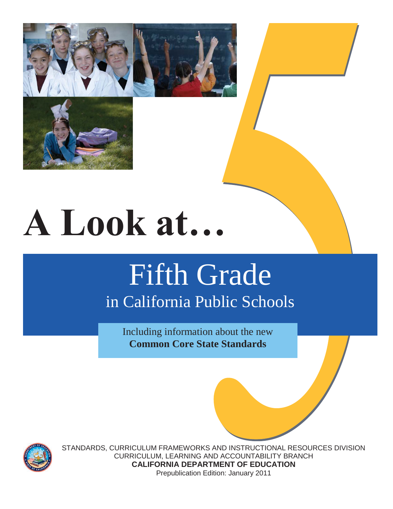



# **A Look at…**

# Fifth Grade in California Public Schools

Including information about the new **Common Core State Standards**



STANDARDS, CURRICULUM FRAMEWORKS AND INSTRUCTIONAL RESOURCES DIVISION CURRICULUM, LEARNING AND ACCOUNTABILITY BRANCH **CALIFORNIA DEPARTMENT OF EDUCATION**  Prepublication Edition: January 2011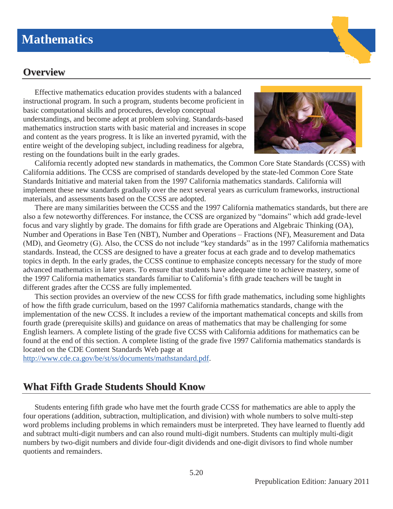# **Mathematics**

# **Overview**

Effective mathematics education provides students with a balanced instructional program. In such a program, students become proficient in basic computational skills and procedures, develop conceptual understandings, and become adept at problem solving. Standards-based mathematics instruction starts with basic material and increases in scope and content as the years progress. It is like an inverted pyramid, with the entire weight of the developing subject, including readiness for algebra, resting on the foundations built in the early grades.



California recently adopted new standards in mathematics, the Common Core State Standards (CCSS) with California additions. The CCSS are comprised of standards developed by the state-led Common Core State Standards Initiative and material taken from the 1997 California mathematics standards. California will implement these new standards gradually over the next several years as curriculum frameworks, instructional materials, and assessments based on the CCSS are adopted.

There are many similarities between the CCSS and the 1997 California mathematics standards, but there are also a few noteworthy differences. For instance, the CCSS are organized by "domains" which add grade-level focus and vary slightly by grade. The domains for fifth grade are Operations and Algebraic Thinking (OA), Number and Operations in Base Ten (NBT), Number and Operations – Fractions (NF), Measurement and Data (MD), and Geometry (G). Also, the CCSS do not include "key standards" as in the 1997 California mathematics standards. Instead, the CCSS are designed to have a greater focus at each grade and to develop mathematics topics in depth. In the early grades, the CCSS continue to emphasize concepts necessary for the study of more advanced mathematics in later years. To ensure that students have adequate time to achieve mastery, some of the 1997 California mathematics standards familiar to California's fifth grade teachers will be taught in different grades after the CCSS are fully implemented.

This section provides an overview of the new CCSS for fifth grade mathematics, including some highlights of how the fifth grade curriculum, based on the 1997 California mathematics standards, change with the implementation of the new CCSS. It includes a review of the important mathematical concepts and skills from fourth grade (prerequisite skills) and guidance on areas of mathematics that may be challenging for some English learners. A complete listing of the grade five CCSS with California additions for mathematics can be found at the end of this section. A complete listing of the grade five 1997 California mathematics standards is located on the CDE Content Standards Web page at

http://www.cde.ca.gov/be/st/ss/documents/mathstandard.pdf.

# **What Fifth Grade Students Should Know**

Students entering fifth grade who have met the fourth grade CCSS for mathematics are able to apply the four operations (addition, subtraction, multiplication, and division) with whole numbers to solve multi-step word problems including problems in which remainders must be interpreted. They have learned to fluently add and subtract multi-digit numbers and can also round multi-digit numbers. Students can multiply multi-digit numbers by two-digit numbers and divide four-digit dividends and one-digit divisors to find whole number quotients and remainders.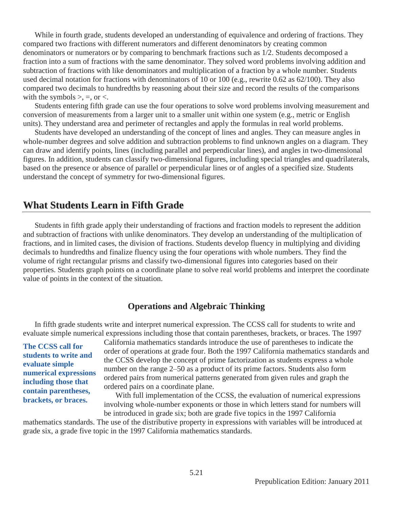While in fourth grade, students developed an understanding of equivalence and ordering of fractions. They compared two fractions with different numerators and different denominators by creating common denominators or numerators or by comparing to benchmark fractions such as 1/2. Students decomposed a fraction into a sum of fractions with the same denominator. They solved word problems involving addition and subtraction of fractions with like denominators and multiplication of a fraction by a whole number. Students used decimal notation for fractions with denominators of 10 or 100 (e.g., rewrite 0.62 as 62/100). They also compared two decimals to hundredths by reasoning about their size and record the results of the comparisons with the symbols  $>$ ,  $=$ , or  $<$ .

Students entering fifth grade can use the four operations to solve word problems involving measurement and conversion of measurements from a larger unit to a smaller unit within one system (e.g., metric or English units). They understand area and perimeter of rectangles and apply the formulas in real world problems.

 Students have developed an understanding of the concept of lines and angles. They can measure angles in whole-number degrees and solve addition and subtraction problems to find unknown angles on a diagram. They can draw and identify points, lines (including parallel and perpendicular lines), and angles in two-dimensional figures. In addition, students can classify two-dimensional figures, including special triangles and quadrilaterals, based on the presence or absence of parallel or perpendicular lines or of angles of a specified size. Students understand the concept of symmetry for two-dimensional figures.

# **What Students Learn in Fifth Grade**

Students in fifth grade apply their understanding of fractions and fraction models to represent the addition and subtraction of fractions with unlike denominators. They develop an understanding of the multiplication of fractions, and in limited cases, the division of fractions. Students develop fluency in multiplying and dividing decimals to hundredths and finalize fluency using the four operations with whole numbers. They find the volume of right rectangular prisms and classify two-dimensional figures into categories based on their properties. Students graph points on a coordinate plane to solve real world problems and interpret the coordinate value of points in the context of the situation.

#### **Operations and Algebraic Thinking**

In fifth grade students write and interpret numerical expression. The CCSS call for students to write and evaluate simple numerical expressions including those that contain parentheses, brackets, or braces. The 1997

**The CCSS call for students to write and evaluate simple numerical expressions including those that contain parentheses, brackets, or braces.** 

California mathematics standards introduce the use of parentheses to indicate the order of operations at grade four. Both the 1997 California mathematics standards and the CCSS develop the concept of prime factorization as students express a whole number on the range 2–50 as a product of its prime factors. Students also form ordered pairs from numerical patterns generated from given rules and graph the ordered pairs on a coordinate plane.

With full implementation of the CCSS, the evaluation of numerical expressions involving whole-number exponents or those in which letters stand for numbers will be introduced in grade six; both are grade five topics in the 1997 California

mathematics standards. The use of the distributive property in expressions with variables will be introduced at grade six, a grade five topic in the 1997 California mathematics standards.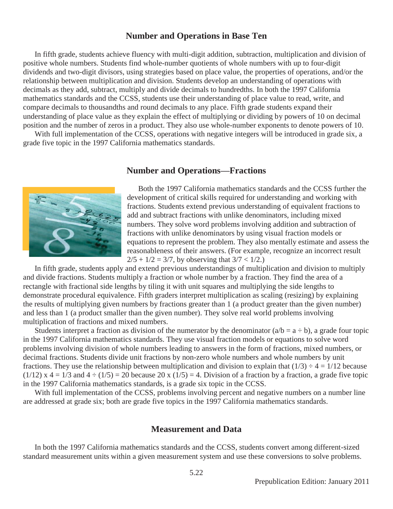#### **Number and Operations in Base Ten**

In fifth grade, students achieve fluency with multi-digit addition, subtraction, multiplication and division of positive whole numbers. Students find whole-number quotients of whole numbers with up to four-digit dividends and two-digit divisors, using strategies based on place value, the properties of operations, and/or the relationship between multiplication and division. Students develop an understanding of operations with decimals as they add, subtract, multiply and divide decimals to hundredths. In both the 1997 California mathematics standards and the CCSS, students use their understanding of place value to read, write, and compare decimals to thousandths and round decimals to any place. Fifth grade students expand their understanding of place value as they explain the effect of multiplying or dividing by powers of 10 on decimal position and the number of zeros in a product. They also use whole-number exponents to denote powers of 10.

With full implementation of the CCSS, operations with negative integers will be introduced in grade six, a grade five topic in the 1997 California mathematics standards.

#### **Number and Operations—Fractions**



Both the 1997 California mathematics standards and the CCSS further the development of critical skills required for understanding and working with fractions. Students extend previous understanding of equivalent fractions to add and subtract fractions with unlike denominators, including mixed numbers. They solve word problems involving addition and subtraction of fractions with unlike denominators by using visual fraction models or equations to represent the problem. They also mentally estimate and assess the reasonableness of their answers. (For example, recognize an incorrect result  $2/5 + 1/2 = 3/7$ , by observing that  $3/7 < 1/2$ .

In fifth grade, students apply and extend previous understandings of multiplication and division to multiply and divide fractions. Students multiply a fraction or whole number by a fraction. They find the area of a rectangle with fractional side lengths by tiling it with unit squares and multiplying the side lengths to demonstrate procedural equivalence. Fifth graders interpret multiplication as scaling (resizing) by explaining the results of multiplying given numbers by fractions greater than 1 (a product greater than the given number) and less than 1 (a product smaller than the given number). They solve real world problems involving multiplication of fractions and mixed numbers.

Students interpret a fraction as division of the numerator by the denominator  $(a/b = a \div b)$ , a grade four topic in the 1997 California mathematics standards. They use visual fraction models or equations to solve word problems involving division of whole numbers leading to answers in the form of fractions, mixed numbers, or decimal fractions. Students divide unit fractions by non-zero whole numbers and whole numbers by unit fractions. They use the relationship between multiplication and division to explain that  $(1/3) \div 4 = 1/12$  because  $(1/12)$  x 4 = 1/3 and 4  $\div$  (1/5) = 20 because 20 x (1/5) = 4. Division of a fraction by a fraction, a grade five topic in the 1997 California mathematics standards, is a grade six topic in the CCSS.

With full implementation of the CCSS, problems involving percent and negative numbers on a number line are addressed at grade six; both are grade five topics in the 1997 California mathematics standards.

#### **Measurement and Data**

In both the 1997 California mathematics standards and the CCSS, students convert among different-sized standard measurement units within a given measurement system and use these conversions to solve problems.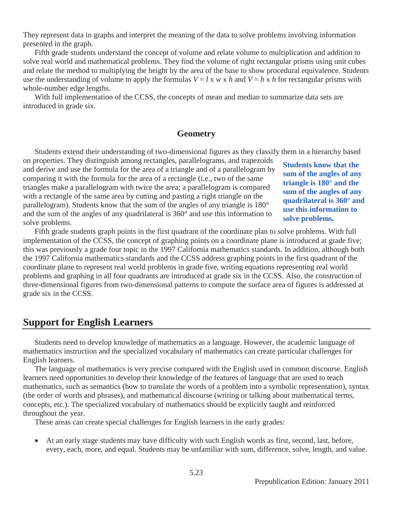They represent data in graphs and interpret the meaning of the data to solve problems involving information presented in the graph.

Fifth grade students understand the concept of volume and relate volume to multiplication and addition to solve real world and mathematical problems. They find the volume of right rectangular prisms using unit cubes and relate the method to multiplying the height by the area of the base to show procedural equivalence. Students use the understanding of volume to apply the formulas  $V = l \times w \times h$  and  $V = b \times h$  for rectangular prisms with whole-number edge lengths.

With full implementation of the CCSS, the concepts of mean and median to summarize data sets are introduced in grade six.

#### **Geometry**

Students extend their understanding of two-dimensional figures as they classify them in a hierarchy based

on properties. They distinguish among rectangles, parallelograms, and trapezoids and derive and use the formula for the area of a triangle and of a parallelogram by comparing it with the formula for the area of a rectangle (i.e., two of the same triangles make a parallelogram with twice the area; a parallelogram is compared with a rectangle of the same area by cutting and pasting a right triangle on the parallelogram). Students know that the sum of the angles of any triangle is 180° and the sum of the angles of any quadrilateral is 360° and use this information to solve problems.

**Students know that the sum of the angles of any triangle is 180° and the sum of the angles of any quadrilateral is 360° and use this information to solve problems.** 

 Fifth grade students graph points in the first quadrant of the coordinate plan to solve problems. With full implementation of the CCSS, the concept of graphing points on a coordinate plane is introduced at grade five; this was previously a grade four topic in the 1997 California mathematics standards. In addition, although both the 1997 California mathematics standards and the CCSS address graphing points in the first quadrant of the coordinate plane to represent real world problems in grade five, writing equations representing real world problems and graphing in all four quadrants are introduced at grade six in the CCSS. Also, the construction of three-dimensional figures from two-dimensional patterns to compute the surface area of figures is addressed at grade six in the CCSS.

# **Support for English Learners**

Students need to develop knowledge of mathematics as a language. However, the academic language of mathematics instruction and the specialized vocabulary of mathematics can create particular challenges for English learners.

The language of mathematics is very precise compared with the English used in common discourse. English learners need opportunities to develop their knowledge of the features of language that are used to teach mathematics, such as semantics (how to translate the words of a problem into a symbolic representation), syntax (the order of words and phrases), and mathematical discourse (writing or talking about mathematical terms, concepts, etc.). The specialized vocabulary of mathematics should be explicitly taught and reinforced throughout the year.

These areas can create special challenges for English learners in the early grades:

• At an early stage students may have difficulty with such English words as first, second, last, before, every, each, more, and equal. Students may be unfamiliar with sum, difference, solve, length, and value.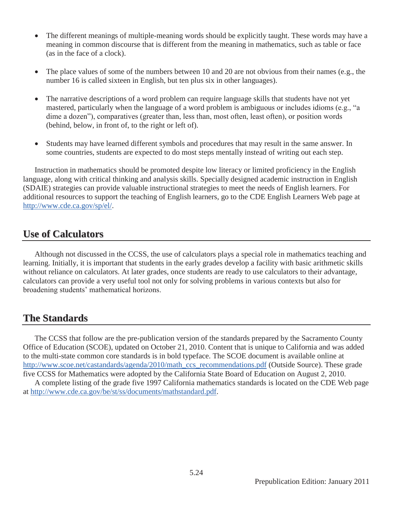- The different meanings of multiple-meaning words should be explicitly taught. These words may have a meaning in common discourse that is different from the meaning in mathematics, such as table or face (as in the face of a clock).
- The place values of some of the numbers between 10 and 20 are not obvious from their names (e.g., the number 16 is called sixteen in English, but ten plus six in other languages).
- The narrative descriptions of a word problem can require language skills that students have not yet mastered, particularly when the language of a word problem is ambiguous or includes idioms (e.g., "a dime a dozen"), comparatives (greater than, less than, most often, least often), or position words (behind, below, in front of, to the right or left of).
- Students may have learned different symbols and procedures that may result in the same answer. In some countries, students are expected to do most steps mentally instead of writing out each step.

Instruction in mathematics should be promoted despite low literacy or limited proficiency in the English language, along with critical thinking and analysis skills. Specially designed academic instruction in English (SDAIE) strategies can provide valuable instructional strategies to meet the needs of English learners. For additional resources to support the teaching of English learners, go to the CDE English Learners Web page at http://www.cde.ca.gov/sp/el/.

# **Use of Calculators**

Although not discussed in the CCSS, the use of calculators plays a special role in mathematics teaching and learning. Initially, it is important that students in the early grades develop a facility with basic arithmetic skills without reliance on calculators. At later grades, once students are ready to use calculators to their advantage, calculators can provide a very useful tool not only for solving problems in various contexts but also for broadening students' mathematical horizons.

# **The Standards**

The CCSS that follow are the pre-publication version of the standards prepared by the Sacramento County Office of Education (SCOE), updated on October 21, 2010. Content that is unique to California and was added to the multi-state common core standards is in bold typeface. The SCOE document is available online at http://www.scoe.net/castandards/agenda/2010/math\_ccs\_recommendations.pdf (Outside Source). These grade five CCSS for Mathematics were adopted by the California State Board of Education on August 2, 2010.

A complete listing of the grade five 1997 California mathematics standards is located on the CDE Web page at http://www.cde.ca.gov/be/st/ss/documents/mathstandard.pdf.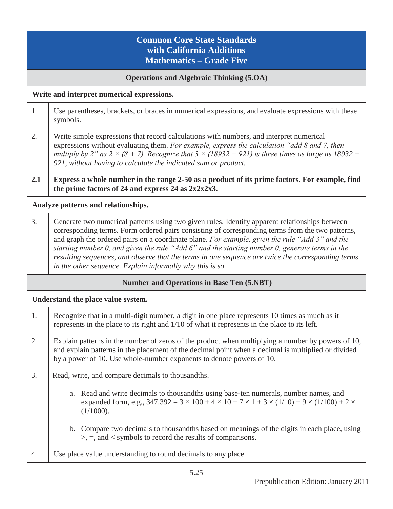# **Common Core State Standards with California Additions Mathematics – Grade Five**

#### **Operations and Algebraic Thinking (5.OA)**

**Write and interpret numerical expressions.** 

1. Use parentheses, brackets, or braces in numerical expressions, and evaluate expressions with these symbols.

| Write simple expressions that record calculations with numbers, and interpret numerical                           |
|-------------------------------------------------------------------------------------------------------------------|
| expressions without evaluating them. For example, express the calculation "add $\delta$ and $\delta$ , then       |
| multiply by 2" as $2 \times (8 + 7)$ . Recognize that $3 \times (18932 + 921)$ is three times as large as 18932 + |
| 921, without having to calculate the indicated sum or product.                                                    |

**2.1 Express a whole number in the range 2-50 as a product of its prime factors. For example, find the prime factors of 24 and express 24 as 2x2x2x3.** 

**Analyze patterns and relationships.** 

3. Generate two numerical patterns using two given rules. Identify apparent relationships between corresponding terms. Form ordered pairs consisting of corresponding terms from the two patterns, and graph the ordered pairs on a coordinate plane. *For example, given the rule "Add 3" and the starting number 0, and given the rule "Add 6" and the starting number 0, generate terms in the resulting sequences, and observe that the terms in one sequence are twice the corresponding terms in the other sequence. Explain informally why this is so.*

| <b>Number and Operations in Base Ten (5.NBT)</b> |                                                                                                                                                                                                                                                                                 |  |  |  |  |  |
|--------------------------------------------------|---------------------------------------------------------------------------------------------------------------------------------------------------------------------------------------------------------------------------------------------------------------------------------|--|--|--|--|--|
|                                                  | Understand the place value system.                                                                                                                                                                                                                                              |  |  |  |  |  |
| 1.                                               | Recognize that in a multi-digit number, a digit in one place represents 10 times as much as it<br>represents in the place to its right and 1/10 of what it represents in the place to its left.                                                                                 |  |  |  |  |  |
| 2.                                               | Explain patterns in the number of zeros of the product when multiplying a number by powers of 10,<br>and explain patterns in the placement of the decimal point when a decimal is multiplied or divided<br>by a power of 10. Use whole-number exponents to denote powers of 10. |  |  |  |  |  |
| 3.                                               | Read, write, and compare decimals to thousandths.                                                                                                                                                                                                                               |  |  |  |  |  |
|                                                  | a. Read and write decimals to thousand this using base-ten numerals, number names, and<br>expanded form, e.g., $347.392 = 3 \times 100 + 4 \times 10 + 7 \times 1 + 3 \times (1/10) + 9 \times (1/100) + 2 \times$<br>$(1/1000)$ .                                              |  |  |  |  |  |
|                                                  | b. Compare two decimals to thousand the based on meanings of the digits in each place, using<br>$\ge$ , =, and < symbols to record the results of comparisons.                                                                                                                  |  |  |  |  |  |
| 4.                                               | Use place value understanding to round decimals to any place.                                                                                                                                                                                                                   |  |  |  |  |  |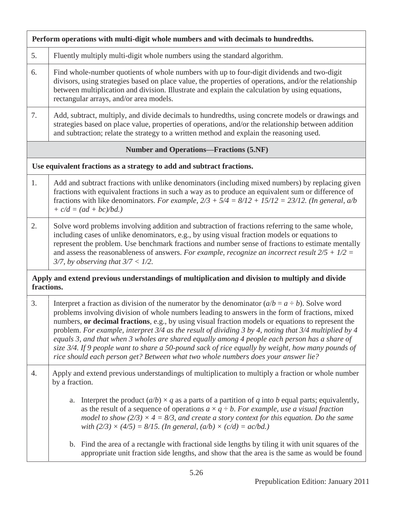| Perform operations with multi-digit whole numbers and with decimals to hundredths. |                                                                                                                                                                                                                                                                                                                                                                                                                                                                                                                                                                                                                                                                                                                       |  |  |  |  |  |
|------------------------------------------------------------------------------------|-----------------------------------------------------------------------------------------------------------------------------------------------------------------------------------------------------------------------------------------------------------------------------------------------------------------------------------------------------------------------------------------------------------------------------------------------------------------------------------------------------------------------------------------------------------------------------------------------------------------------------------------------------------------------------------------------------------------------|--|--|--|--|--|
| 5.                                                                                 | Fluently multiply multi-digit whole numbers using the standard algorithm.                                                                                                                                                                                                                                                                                                                                                                                                                                                                                                                                                                                                                                             |  |  |  |  |  |
| 6.                                                                                 | Find whole-number quotients of whole numbers with up to four-digit dividends and two-digit<br>divisors, using strategies based on place value, the properties of operations, and/or the relationship<br>between multiplication and division. Illustrate and explain the calculation by using equations,<br>rectangular arrays, and/or area models.                                                                                                                                                                                                                                                                                                                                                                    |  |  |  |  |  |
| 7.                                                                                 | Add, subtract, multiply, and divide decimals to hundredths, using concrete models or drawings and<br>strategies based on place value, properties of operations, and/or the relationship between addition<br>and subtraction; relate the strategy to a written method and explain the reasoning used.                                                                                                                                                                                                                                                                                                                                                                                                                  |  |  |  |  |  |
|                                                                                    | <b>Number and Operations—Fractions (5.NF)</b>                                                                                                                                                                                                                                                                                                                                                                                                                                                                                                                                                                                                                                                                         |  |  |  |  |  |
|                                                                                    | Use equivalent fractions as a strategy to add and subtract fractions.                                                                                                                                                                                                                                                                                                                                                                                                                                                                                                                                                                                                                                                 |  |  |  |  |  |
| 1.                                                                                 | Add and subtract fractions with unlike denominators (including mixed numbers) by replacing given<br>fractions with equivalent fractions in such a way as to produce an equivalent sum or difference of<br>fractions with like denominators. For example, $2/3 + 5/4 = 8/12 + 15/12 = 23/12$ . (In general, a/b<br>$+ c/d = (ad + bc)/bd.)$                                                                                                                                                                                                                                                                                                                                                                            |  |  |  |  |  |
| 2.                                                                                 | Solve word problems involving addition and subtraction of fractions referring to the same whole,<br>including cases of unlike denominators, e.g., by using visual fraction models or equations to<br>represent the problem. Use benchmark fractions and number sense of fractions to estimate mentally<br>and assess the reasonableness of answers. For example, recognize an incorrect result $2/5 + 1/2 =$<br>$3/7$ , by observing that $3/7 < 1/2$ .                                                                                                                                                                                                                                                               |  |  |  |  |  |
| fractions.                                                                         | Apply and extend previous understandings of multiplication and division to multiply and divide                                                                                                                                                                                                                                                                                                                                                                                                                                                                                                                                                                                                                        |  |  |  |  |  |
| 3.                                                                                 | Interpret a fraction as division of the numerator by the denominator $(a/b = a \div b)$ . Solve word<br>problems involving division of whole numbers leading to answers in the form of fractions, mixed<br>numbers, or decimal fractions, e.g., by using visual fraction models or equations to represent the<br>problem. For example, interpret $3/4$ as the result of dividing 3 by 4, noting that $3/4$ multiplied by 4<br>equals 3, and that when 3 wholes are shared equally among 4 people each person has a share of<br>size 3/4. If 9 people want to share a 50-pound sack of rice equally by weight, how many pounds of<br>rice should each person get? Between what two whole numbers does your answer lie? |  |  |  |  |  |
| 4.                                                                                 | Apply and extend previous understandings of multiplication to multiply a fraction or whole number<br>by a fraction.                                                                                                                                                                                                                                                                                                                                                                                                                                                                                                                                                                                                   |  |  |  |  |  |
|                                                                                    | Interpret the product $(a/b) \times q$ as a parts of a partition of q into b equal parts; equivalently,<br>a.<br>as the result of a sequence of operations $a \times q \div b$ . For example, use a visual fraction<br>model to show ( $2/3$ ) $\times$ 4 = 8/3, and create a story context for this equation. Do the same<br>with $(2/3) \times (4/5) = 8/15$ . (In general, $(a/b) \times (c/d) = ac/bd$ .)                                                                                                                                                                                                                                                                                                         |  |  |  |  |  |
|                                                                                    | b. Find the area of a rectangle with fractional side lengths by tiling it with unit squares of the<br>appropriate unit fraction side lengths, and show that the area is the same as would be found                                                                                                                                                                                                                                                                                                                                                                                                                                                                                                                    |  |  |  |  |  |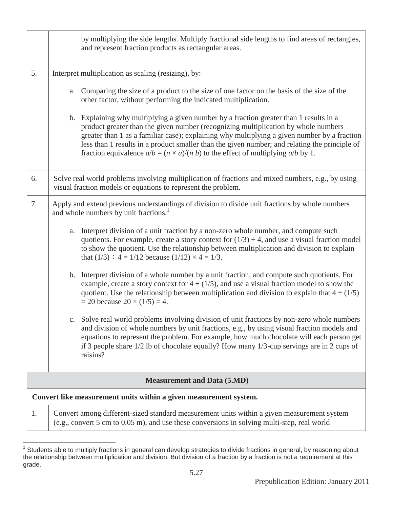|                                                                   | by multiplying the side lengths. Multiply fractional side lengths to find areas of rectangles,<br>and represent fraction products as rectangular areas.                                                                                                                                                                                                                                                                                                                                 |  |  |  |
|-------------------------------------------------------------------|-----------------------------------------------------------------------------------------------------------------------------------------------------------------------------------------------------------------------------------------------------------------------------------------------------------------------------------------------------------------------------------------------------------------------------------------------------------------------------------------|--|--|--|
| 5.                                                                | Interpret multiplication as scaling (resizing), by:                                                                                                                                                                                                                                                                                                                                                                                                                                     |  |  |  |
|                                                                   | Comparing the size of a product to the size of one factor on the basis of the size of the<br>a.<br>other factor, without performing the indicated multiplication.                                                                                                                                                                                                                                                                                                                       |  |  |  |
|                                                                   | Explaining why multiplying a given number by a fraction greater than 1 results in a<br>$\mathbf{b}$ .<br>product greater than the given number (recognizing multiplication by whole numbers<br>greater than 1 as a familiar case); explaining why multiplying a given number by a fraction<br>less than 1 results in a product smaller than the given number; and relating the principle of<br>fraction equivalence $a/b = (n \times a)/(n b)$ to the effect of multiplying $a/b$ by 1. |  |  |  |
| 6.                                                                | Solve real world problems involving multiplication of fractions and mixed numbers, e.g., by using<br>visual fraction models or equations to represent the problem.                                                                                                                                                                                                                                                                                                                      |  |  |  |
| 7.                                                                | Apply and extend previous understandings of division to divide unit fractions by whole numbers<br>and whole numbers by unit fractions. <sup>1</sup>                                                                                                                                                                                                                                                                                                                                     |  |  |  |
|                                                                   | Interpret division of a unit fraction by a non-zero whole number, and compute such<br>a.<br>quotients. For example, create a story context for $(1/3) \div 4$ , and use a visual fraction model<br>to show the quotient. Use the relationship between multiplication and division to explain<br>that $(1/3) \div 4 = 1/12$ because $(1/12) \times 4 = 1/3$ .                                                                                                                            |  |  |  |
|                                                                   | Interpret division of a whole number by a unit fraction, and compute such quotients. For<br>$\mathbf{b}$ .<br>example, create a story context for $4 \div (1/5)$ , and use a visual fraction model to show the<br>quotient. Use the relationship between multiplication and division to explain that $4 \div (1/5)$<br>$= 20$ because $20 \times (1/5) = 4$ .                                                                                                                           |  |  |  |
|                                                                   | Solve real world problems involving division of unit fractions by non-zero whole numbers<br>and division of whole numbers by unit fractions, e.g., by using visual fraction models and<br>equations to represent the problem. For example, how much chocolate will each person get<br>if 3 people share 1/2 lb of chocolate equally? How many 1/3-cup servings are in 2 cups of<br>raisins?                                                                                             |  |  |  |
|                                                                   | <b>Measurement and Data (5.MD)</b>                                                                                                                                                                                                                                                                                                                                                                                                                                                      |  |  |  |
| Convert like measurement units within a given measurement system. |                                                                                                                                                                                                                                                                                                                                                                                                                                                                                         |  |  |  |
| 1.                                                                | Convert among different-sized standard measurement units within a given measurement system<br>(e.g., convert 5 cm to 0.05 m), and use these conversions in solving multi-step, real world                                                                                                                                                                                                                                                                                               |  |  |  |

 1 Students able to multiply fractions in general can develop strategies to divide fractions in general, by reasoning about the relationship between multiplication and division. But division of a fraction by a fraction is not a requirement at this grade.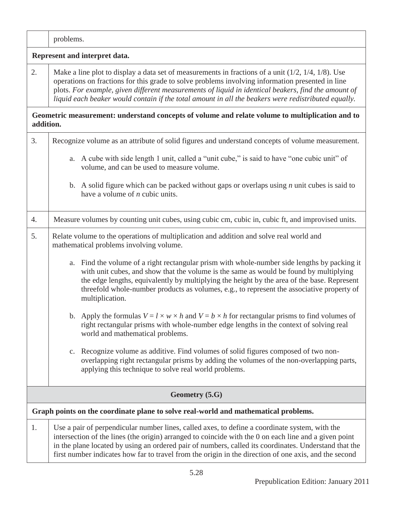|    | problems.                                                                                                                                                                                                                                                                                                                                                                                                                 |  |  |  |  |
|----|---------------------------------------------------------------------------------------------------------------------------------------------------------------------------------------------------------------------------------------------------------------------------------------------------------------------------------------------------------------------------------------------------------------------------|--|--|--|--|
|    | Represent and interpret data.                                                                                                                                                                                                                                                                                                                                                                                             |  |  |  |  |
| 2. | Make a line plot to display a data set of measurements in fractions of a unit $(1/2, 1/4, 1/8)$ . Use<br>operations on fractions for this grade to solve problems involving information presented in line<br>plots. For example, given different measurements of liquid in identical beakers, find the amount of<br>liquid each beaker would contain if the total amount in all the beakers were redistributed equally.   |  |  |  |  |
|    | Geometric measurement: understand concepts of volume and relate volume to multiplication and to<br>addition.                                                                                                                                                                                                                                                                                                              |  |  |  |  |
| 3. | Recognize volume as an attribute of solid figures and understand concepts of volume measurement.                                                                                                                                                                                                                                                                                                                          |  |  |  |  |
|    | a. A cube with side length 1 unit, called a "unit cube," is said to have "one cubic unit" of<br>volume, and can be used to measure volume.                                                                                                                                                                                                                                                                                |  |  |  |  |
|    | b. A solid figure which can be packed without gaps or overlaps using $n$ unit cubes is said to<br>have a volume of $n$ cubic units.                                                                                                                                                                                                                                                                                       |  |  |  |  |
| 4. | Measure volumes by counting unit cubes, using cubic cm, cubic in, cubic ft, and improvised units.                                                                                                                                                                                                                                                                                                                         |  |  |  |  |
| 5. | Relate volume to the operations of multiplication and addition and solve real world and<br>mathematical problems involving volume.                                                                                                                                                                                                                                                                                        |  |  |  |  |
|    | a. Find the volume of a right rectangular prism with whole-number side lengths by packing it<br>with unit cubes, and show that the volume is the same as would be found by multiplying<br>the edge lengths, equivalently by multiplying the height by the area of the base. Represent<br>threefold whole-number products as volumes, e.g., to represent the associative property of<br>multiplication.                    |  |  |  |  |
|    | b. Apply the formulas $V = l \times w \times h$ and $V = b \times h$ for rectangular prisms to find volumes of<br>right rectangular prisms with whole-number edge lengths in the context of solving real<br>world and mathematical problems.                                                                                                                                                                              |  |  |  |  |
|    | c. Recognize volume as additive. Find volumes of solid figures composed of two non-<br>overlapping right rectangular prisms by adding the volumes of the non-overlapping parts,<br>applying this technique to solve real world problems.                                                                                                                                                                                  |  |  |  |  |
|    | Geometry (5.G)                                                                                                                                                                                                                                                                                                                                                                                                            |  |  |  |  |
|    | Graph points on the coordinate plane to solve real-world and mathematical problems.                                                                                                                                                                                                                                                                                                                                       |  |  |  |  |
| 1. | Use a pair of perpendicular number lines, called axes, to define a coordinate system, with the<br>intersection of the lines (the origin) arranged to coincide with the 0 on each line and a given point<br>in the plane located by using an ordered pair of numbers, called its coordinates. Understand that the<br>first number indicates how far to travel from the origin in the direction of one axis, and the second |  |  |  |  |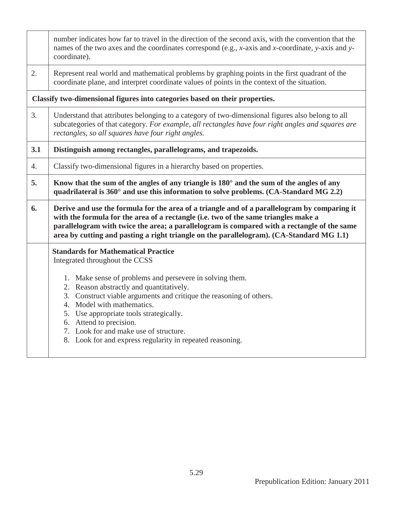|     | number indicates how far to travel in the direction of the second axis, with the convention that the<br>names of the two axes and the coordinates correspond (e.g., $x$ -axis and $x$ -coordinate, $y$ -axis and $y$ -<br>coordinate).                                                                                                                                                 |  |  |  |  |  |  |
|-----|----------------------------------------------------------------------------------------------------------------------------------------------------------------------------------------------------------------------------------------------------------------------------------------------------------------------------------------------------------------------------------------|--|--|--|--|--|--|
| 2.  | Represent real world and mathematical problems by graphing points in the first quadrant of the<br>coordinate plane, and interpret coordinate values of points in the context of the situation.                                                                                                                                                                                         |  |  |  |  |  |  |
|     | Classify two-dimensional figures into categories based on their properties.                                                                                                                                                                                                                                                                                                            |  |  |  |  |  |  |
| 3.  | Understand that attributes belonging to a category of two-dimensional figures also belong to all<br>subcategories of that category. For example, all rectangles have four right angles and squares are<br>rectangles, so all squares have four right angles.                                                                                                                           |  |  |  |  |  |  |
| 3.1 | Distinguish among rectangles, parallelograms, and trapezoids.                                                                                                                                                                                                                                                                                                                          |  |  |  |  |  |  |
| 4.  | Classify two-dimensional figures in a hierarchy based on properties.                                                                                                                                                                                                                                                                                                                   |  |  |  |  |  |  |
| 5.  | Know that the sum of the angles of any triangle is $180^\circ$ and the sum of the angles of any<br>quadrilateral is 360° and use this information to solve problems. (CA-Standard MG 2.2)                                                                                                                                                                                              |  |  |  |  |  |  |
| 6.  | Derive and use the formula for the area of a triangle and of a parallelogram by comparing it<br>with the formula for the area of a rectangle (i.e. two of the same triangles make a<br>parallelogram with twice the area; a parallelogram is compared with a rectangle of the same<br>area by cutting and pasting a right triangle on the parallelogram). (CA-Standard MG 1.1)         |  |  |  |  |  |  |
|     | <b>Standards for Mathematical Practice</b><br>Integrated throughout the CCSS                                                                                                                                                                                                                                                                                                           |  |  |  |  |  |  |
|     | 1. Make sense of problems and persevere in solving them.<br>2. Reason abstractly and quantitatively.<br>3. Construct viable arguments and critique the reasoning of others.<br>4. Model with mathematics.<br>5. Use appropriate tools strategically.<br>6. Attend to precision.<br>7. Look for and make use of structure.<br>8. Look for and express regularity in repeated reasoning. |  |  |  |  |  |  |